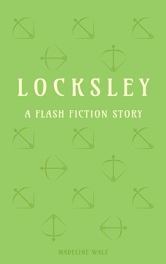





## A FLASH FICTION STORY



MADELINE WALZ